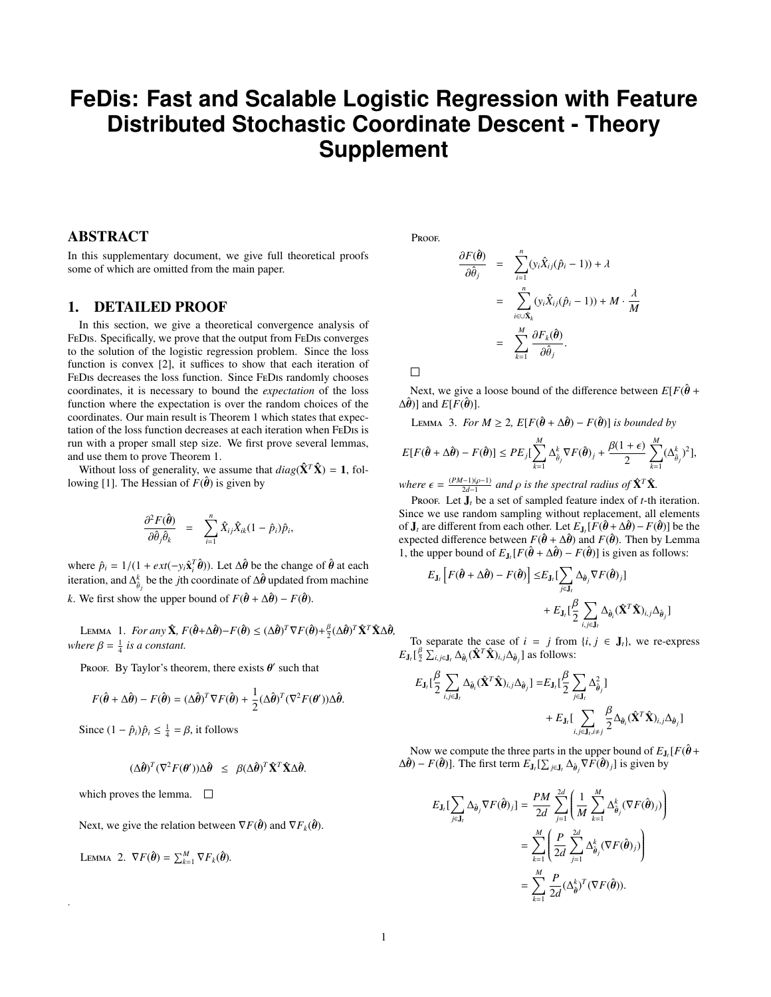## **FeDis: Fast and Scalable Logistic Regression with Feature Distributed Stochastic Coordinate Descent - Theory Supplement**

## ABSTRACT

In this supplementary document, we give full theoretical proofs some of which are omitted from the main paper.

## 1. DETAILED PROOF

In this section, we give a theoretical convergence analysis of FeDis. Specifically, we prove that the output from FeDis converges to the solution of the logistic regression problem. Since the loss function is convex [2], it suffices to show that each iteration of FeDis decreases the loss function. Since FeDis randomly chooses coordinates, it is necessary to bound the *expectation* of the loss function where the expectation is over the random choices of the coordinates. Our main result is Theorem 1 which states that expectation of the loss function decreases at each iteration when FeDis is run with a proper small step size. We first prove several lemmas, and use them to prove Theorem 1.

Without loss of generality, we assume that  $diag(\hat{\mathbf{X}}^T \hat{\mathbf{X}}) = 1$ , following [1]. The Hessian of  $F(\hat{\theta})$  is given by

$$
\frac{\partial^2 F(\hat{\boldsymbol{\theta}})}{\partial \hat{\theta}_j \hat{\theta}_k} = \sum_{i=1}^n \hat{X}_{ij} \hat{X}_{ik} (1 - \hat{p}_i) \hat{p}_i,
$$

where  $\hat{p}_i = 1/(1 + \varepsilon xt(-y_i \hat{\mathbf{x}}_i^T \hat{\boldsymbol{\theta}}))$ . Let  $\Delta \hat{\boldsymbol{\theta}}$  be the change of  $\hat{\boldsymbol{\theta}}$  at each iteration and  $\Delta^k$ , be the *i*<sup>th</sup> poordinate of  $\Delta \hat{\boldsymbol{\theta}}$  undated from mapping iteration, and  $\Delta_{\hat{\theta}_j}^k$  be the *j*th coordinate of  $\Delta \hat{\theta}$  updated from machine *k*. We first show the upper bound of  $F(\hat{\theta} + \Delta \hat{\theta}) - F(\hat{\theta})$ .

LEMMA 1. *For any*  $\hat{\mathbf{X}}$ ,  $F(\hat{\boldsymbol{\theta}} + \Delta \hat{\boldsymbol{\theta}}) - F(\hat{\boldsymbol{\theta}}) \leq (\Delta \hat{\boldsymbol{\theta}})^T \nabla F(\hat{\boldsymbol{\theta}}) + \frac{\beta}{2} (\Delta \hat{\boldsymbol{\theta}})^T \hat{\mathbf{X}}^T \hat{\mathbf{X}} \Delta \hat{\boldsymbol{\theta}}$ ,<br>*are*  $\beta = 1$  *is a constant* where  $\beta = \frac{1}{4}$  *is a constant.* 

Proof. By Taylor's theorem, there exists  $\theta'$  such that

$$
F(\hat{\boldsymbol{\theta}} + \Delta \hat{\boldsymbol{\theta}}) - F(\hat{\boldsymbol{\theta}}) = (\Delta \hat{\boldsymbol{\theta}})^T \nabla F(\hat{\boldsymbol{\theta}}) + \frac{1}{2} (\Delta \hat{\boldsymbol{\theta}})^T (\nabla^2 F(\boldsymbol{\theta}')) \Delta \hat{\boldsymbol{\theta}}.
$$

Since  $(1 - \hat{p}_i)\hat{p}_i \le \frac{1}{4} = \beta$ , it follows

$$
(\Delta \hat{\boldsymbol{\theta}})^T (\nabla^2 F(\boldsymbol{\theta}')) \Delta \hat{\boldsymbol{\theta}} \leq \beta (\Delta \hat{\boldsymbol{\theta}})^T \hat{\mathbf{X}}^T \hat{\mathbf{X}} \Delta \hat{\boldsymbol{\theta}}.
$$

which proves the lemma.  $\square$ 

Next, we give the relation between  $\nabla F(\hat{\boldsymbol{\theta}})$  and  $\nabla F_k(\hat{\boldsymbol{\theta}})$ .

LEMMA 2.  $\nabla F(\hat{\boldsymbol{\theta}}) = \sum_{k=1}^{M} \nabla F_k(\hat{\boldsymbol{\theta}})$ .

.

Proof.

$$
\frac{\partial F(\hat{\boldsymbol{\theta}})}{\partial \hat{\theta}_j} = \sum_{i=1}^n (y_i \hat{X}_{ij} (\hat{p}_i - 1)) + \lambda
$$
  

$$
= \sum_{i \in \cup \hat{X}_k}^n (y_i \hat{X}_{ij} (\hat{p}_i - 1)) + M \cdot \frac{\lambda}{M}
$$
  

$$
= \sum_{k=1}^M \frac{\partial F_k(\hat{\boldsymbol{\theta}})}{\partial \hat{\theta}_j}.
$$

 $\Box$ 

Next, we give a loose bound of the difference between  $E[F(\hat{\theta} + \hat{\theta})]$  $\Delta \hat{\theta}$ )] and  $E[F(\hat{\theta})]$ .

LEMMA 3. *For*  $M \geq 2$ ,  $E[F(\hat{\theta} + \Delta \hat{\theta}) - F(\hat{\theta})]$  *is bounded by* 

$$
E[F(\hat{\boldsymbol{\theta}} + \Delta \hat{\boldsymbol{\theta}}) - F(\hat{\boldsymbol{\theta}})] \le PE_j[\sum_{k=1}^M \Delta_{\hat{\theta}_j}^k \nabla F(\hat{\boldsymbol{\theta}})_j + \frac{\beta(1+\epsilon)}{2} \sum_{k=1}^M (\Delta_{\hat{\theta}_j}^k)^2],
$$

*where*  $\epsilon = \frac{(PM-1)(p-1)}{2d-1}$  and *p is the spectral radius of*  $\hat{\mathbf{X}}^T \hat{\mathbf{X}}$ .

Proof. Let  $J_t$  be a set of sampled feature index of *t*-th iteration. Since we use random sampling without replacement, all elements of **J**<sub>t</sub> are different from each other. Let  $E_{J_t}[\hat{F}(\hat{\theta} + \Delta \hat{\theta}) - F(\hat{\theta})]$  be the expected difference between  $F(\hat{\theta} + \Delta \hat{\theta})$  and  $F(\hat{\theta})$ . Then by I emma expected difference between  $F(\hat{\theta} + \Delta \hat{\theta})$  and  $F(\hat{\theta})$ . Then by Lemma 1, the upper bound of  $E_{\mathbf{J}_t}[F(\hat{\theta} + \Delta \hat{\theta}) - F(\hat{\theta})]$  is given as follows:

$$
\begin{aligned} E_{{\bf J}_t}\left[F(\hat{\pmb{\theta}}+\Delta\hat{\pmb{\theta}})-F(\hat{\pmb{\theta}})\right] \leq & E_{{\bf J}_t}[\sum_{j\in {\bf J}_t}\Delta_{\hat{\theta}_j}\nabla F(\hat{\pmb{\theta}})_j]\\ &+E_{{\bf J}_t}[\frac{\beta}{2}\sum_{i,j\in {\bf J}_t}\Delta_{\hat{\theta}_i}(\hat{{\bf X}}^T\hat{{\bf X}})_{i,j}\Delta_{\hat{\theta}_j}] \end{aligned}
$$

To separate the case of  $i = j$  from  $\{i, j \in J_t\}$ , we re-express  $E_{\mathbf{J}_t}[\frac{\beta}{2} \sum_{i,j \in \mathbf{J}_t} \Delta_{\hat{\theta}_i} (\hat{\mathbf{X}}^T \hat{\mathbf{X}})_{i,j} \Delta_{\hat{\theta}_j}]$  as follows:

$$
\begin{aligned} E_{\mathbf{J}_l}[\frac{\beta}{2}\sum_{i,j\in\mathbf{J}_l}\Delta_{\theta_i}(\hat{\mathbf{X}}^T\hat{\mathbf{X}})_{i,j}\Delta_{\theta_j}] =& E_{\mathbf{J}_l}[\frac{\beta}{2}\sum_{j\in\mathbf{J}_l}\Delta_{\theta_j}^2] \\ &+E_{\mathbf{J}_l}[\sum_{i,j\in\mathbf{J}_l,i\neq j}\frac{\beta}{2}\Delta_{\theta_i}(\hat{\mathbf{X}}^T\hat{\mathbf{X}})_{i,j}\Delta_{\theta_j}] \end{aligned}
$$

Now we compute the three parts in the upper bound of  $E_{\mathbf{J}_l}[F(\hat{\boldsymbol{\theta}} + \hat{\boldsymbol{\theta}}_l) - F(\hat{\boldsymbol{\theta}})]$  The first term  $F_{\mathbf{J}}[\Sigma] \times \Lambda_2 \nabla F(\hat{\boldsymbol{\theta}})$ . I is given by  $\Delta \hat{\theta}$ ) – *F*( $\hat{\theta}$ )]. The first term  $E_{J_t}[\sum_{j\in J_t} \Delta_{\hat{\theta}_j} \nabla F(\hat{\theta})_j]$  is given by

$$
E_{\mathbf{J}_i} \left[ \sum_{j \in \mathbf{J}_i} \Delta_{\hat{\theta}_j} \nabla F(\hat{\theta})_j \right] = \frac{PM}{2d} \sum_{j=1}^{2d} \left( \frac{1}{M} \sum_{k=1}^M \Delta_{\hat{\theta}_j}^k (\nabla F(\hat{\theta})_j) \right)
$$
  

$$
= \sum_{k=1}^M \left( \frac{P}{2d} \sum_{j=1}^{2d} \Delta_{\hat{\theta}_j}^k (\nabla F(\hat{\theta})_j) \right)
$$
  

$$
= \sum_{k=1}^M \frac{P}{2d} (\Delta_{\hat{\theta}}^k)^T (\nabla F(\hat{\theta})).
$$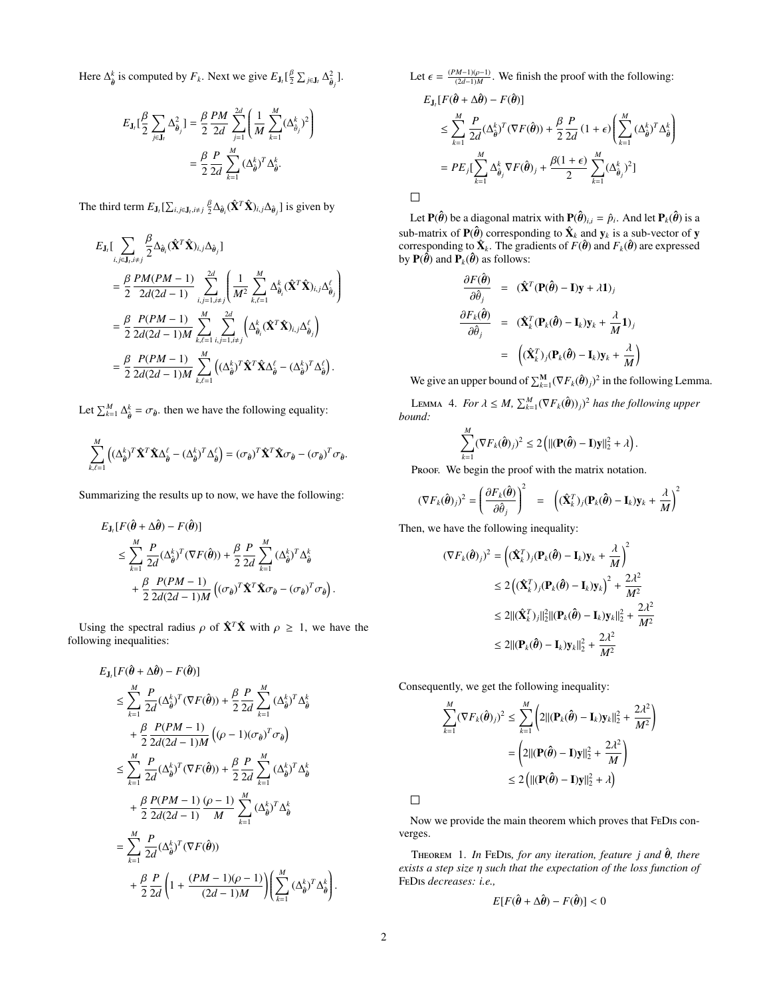Here  $\Delta_{\hat{\theta}}^k$  is computed by  $F_k$ . Next we give  $E_{\mathbf{J}_l}[\frac{\beta}{2} \sum_{j \in \mathbf{J}_l} \Delta_{\hat{\theta}_j}^2]$ .

$$
\begin{split} E_{\mathbf{J}_l}[\frac{\beta}{2}\sum_{j\in\mathbf{J}_l}\Delta_{\hat{\theta}_j}^2] &= \frac{\beta}{2}\frac{PM}{2d}\sum_{j=1}^{2d}\left(\frac{1}{M}\sum_{k=1}^M(\Delta_{\hat{\theta}_j}^k)^2\right) \\ &= \frac{\beta}{2}\frac{P}{2d}\sum_{k=1}^M(\Delta_{\hat{\theta}}^k)^T\Delta_{\hat{\theta}}^k. \end{split}
$$

The third term  $E_{J_t}[\sum_{i,j\in J_t, i\neq j} \frac{\beta}{2} \Delta_{\hat{\theta}_i}(\hat{\mathbf{X}}^T \hat{\mathbf{X}})_{i,j} \Delta_{\hat{\theta}_j}]$  is given by

$$
E_{\mathbf{J}_{i}}\left[\sum_{i,j\in\mathbf{J}_{i},i\neq j}\frac{\beta}{2}\Delta_{\hat{\theta}_{i}}(\hat{\mathbf{X}}^{T}\hat{\mathbf{X}})_{i,j}\Delta_{\hat{\theta}_{j}}\right]
$$
\n
$$
=\frac{\beta}{2}\frac{PM(PM-1)}{2d(2d-1)}\sum_{i,j=1,i\neq j}^{2d}\left(\frac{1}{M^{2}}\sum_{k,\ell=1}^{M}\Delta_{\hat{\theta}_{i}}^{k}(\hat{\mathbf{X}}^{T}\hat{\mathbf{X}})_{i,j}\Delta_{\hat{\theta}_{j}}^{\ell}\right)
$$
\n
$$
=\frac{\beta}{2}\frac{P(PM-1)}{2d(2d-1)M}\sum_{k,\ell=1}^{M}\sum_{i,j=1,i\neq j}^{2d}\left(\Delta_{\hat{\theta}_{i}}^{k}(\hat{\mathbf{X}}^{T}\hat{\mathbf{X}})_{i,j}\Delta_{\hat{\theta}_{j}}^{\ell}\right)
$$
\n
$$
=\frac{\beta}{2}\frac{P(PM-1)}{2d(2d-1)M}\sum_{k,\ell=1}^{M}\left((\Delta_{\hat{\theta}}^{k})^{T}\hat{\mathbf{X}}^{T}\hat{\mathbf{X}}\Delta_{\hat{\theta}}^{\ell}-(\Delta_{\hat{\theta}}^{k})^{T}\Delta_{\hat{\theta}}^{\ell}\right).
$$

Let  $\sum_{k=1}^{M} \Delta_{\hat{\theta}}^k = \sigma_{\hat{\theta}}$ , then we have the following equality:

$$
\sum_{k,\ell=1}^M \left( (\Delta_{\hat{\theta}}^k)^T \hat{\mathbf{X}}^T \hat{\mathbf{X}} \Delta_{\hat{\theta}}^\ell - (\Delta_{\hat{\theta}}^k)^T \Delta_{\hat{\theta}}^\ell \right) = (\sigma_{\hat{\theta}})^T \hat{\mathbf{X}}^T \hat{\mathbf{X}} \sigma_{\hat{\theta}} - (\sigma_{\hat{\theta}})^T \sigma_{\hat{\theta}}.
$$

Summarizing the results up to now, we have the following:

$$
E_{\mathbf{J}_l}[F(\hat{\boldsymbol{\theta}} + \Delta \hat{\boldsymbol{\theta}}) - F(\hat{\boldsymbol{\theta}})]
$$
  
\n
$$
\leq \sum_{k=1}^M \frac{P}{2d} (\Delta_{\hat{\boldsymbol{\theta}}}^k)^T (\nabla F(\hat{\boldsymbol{\theta}})) + \frac{\beta}{2} \frac{P}{2d} \sum_{k=1}^M (\Delta_{\hat{\boldsymbol{\theta}}}^k)^T \Delta_{\hat{\boldsymbol{\theta}}}^k
$$
  
\n
$$
+ \frac{\beta}{2} \frac{P(PM - 1)}{2d(2d - 1)M} \left( (\sigma_{\hat{\boldsymbol{\theta}}})^T \hat{\mathbf{X}}^T \hat{\mathbf{X}} \sigma_{\hat{\boldsymbol{\theta}}} - (\sigma_{\hat{\boldsymbol{\theta}}})^T \sigma_{\hat{\boldsymbol{\theta}}} \right)
$$

Using the spectral radius  $\rho$  of  $\hat{\mathbf{X}}^T \hat{\mathbf{X}}$  with  $\rho \geq 1$ , we have the following inequalities:

$$
E_{\mathbf{J}_{t}}[F(\hat{\boldsymbol{\theta}} + \Delta \hat{\boldsymbol{\theta}}) - F(\hat{\boldsymbol{\theta}})]
$$
\n
$$
\leq \sum_{k=1}^{M} \frac{P}{2d} (\Delta_{\hat{\boldsymbol{\theta}}}^{k})^{T} (\nabla F(\hat{\boldsymbol{\theta}})) + \frac{\beta}{2} \frac{P}{2d} \sum_{k=1}^{M} (\Delta_{\hat{\boldsymbol{\theta}}}^{k})^{T} \Delta_{\hat{\boldsymbol{\theta}}}^{k}
$$
\n
$$
+ \frac{\beta}{2} \frac{P(PM - 1)}{2d(2d - 1)M} \left( (\rho - 1)(\sigma_{\hat{\boldsymbol{\theta}}})^{T} \sigma_{\hat{\boldsymbol{\theta}}} \right)
$$
\n
$$
\leq \sum_{k=1}^{M} \frac{P}{2d} (\Delta_{\hat{\boldsymbol{\theta}}}^{k})^{T} (\nabla F(\hat{\boldsymbol{\theta}})) + \frac{\beta}{2} \frac{P}{2d} \sum_{k=1}^{M} (\Delta_{\hat{\boldsymbol{\theta}}}^{k})^{T} \Delta_{\hat{\boldsymbol{\theta}}}^{k}
$$
\n
$$
+ \frac{\beta}{2} \frac{P(PM - 1)}{2d(2d - 1)} \frac{(\rho - 1)}{M} \sum_{k=1}^{M} (\Delta_{\hat{\boldsymbol{\theta}}}^{k})^{T} \Delta_{\hat{\boldsymbol{\theta}}}^{k}
$$
\n
$$
= \sum_{k=1}^{M} \frac{P}{2d} (\Delta_{\hat{\boldsymbol{\theta}}}^{k})^{T} (\nabla F(\hat{\boldsymbol{\theta}}))
$$
\n
$$
+ \frac{\beta}{2} \frac{P}{2d} \left( 1 + \frac{(PM - 1)(\rho - 1)}{(2d - 1)M} \right) \left( \sum_{k=1}^{M} (\Delta_{\hat{\boldsymbol{\theta}}}^{k})^{T} \Delta_{\hat{\boldsymbol{\theta}}}^{k} \right)
$$

Let  $\epsilon = \frac{(PM-1)(\rho-1)}{(2d-1)M}$ . We finish the proof with the following:

$$
E_{\mathbf{J}_t}[F(\hat{\boldsymbol{\theta}} + \Delta \hat{\boldsymbol{\theta}}) - F(\hat{\boldsymbol{\theta}})]
$$
  
\n
$$
\leq \sum_{k=1}^M \frac{P}{2d} (\Delta_{\hat{\boldsymbol{\theta}}}^k)^T (\nabla F(\hat{\boldsymbol{\theta}})) + \frac{\beta}{2} \frac{P}{2d} (1 + \epsilon) \left( \sum_{k=1}^M (\Delta_{\hat{\boldsymbol{\theta}}}^k)^T \Delta_{\hat{\boldsymbol{\theta}}}^k \right)
$$
  
\n
$$
= PE_j [\sum_{k=1}^M \Delta_{\hat{\boldsymbol{\theta}}_j}^k \nabla F(\hat{\boldsymbol{\theta}})_j + \frac{\beta(1 + \epsilon)}{2} \sum_{k=1}^M (\Delta_{\hat{\boldsymbol{\theta}}_j}^k)^2]
$$

Let  $P(\hat{\theta})$  be a diagonal matrix with  $P(\hat{\theta})_{i,i} = \hat{p}_i$ . And let  $P_k(\hat{\theta})$  is a heater of  $\hat{P}_k(\hat{\theta})$  corresponding to  $\hat{Y}_k$  and  $Y_k$  is a sub-vector of  $Y_k$ sub-matrix of  $\mathbf{P}(\hat{\theta})$  corresponding to  $\hat{\mathbf{X}}_k$  and  $\mathbf{y}_k$  is a sub-vector of  $\mathbf{y}$  corresponding to  $\hat{\mathbf{X}}_k$ . The gradients of  $E(\hat{\theta})$  and  $E(\hat{\theta})$  are expressed corresponding to  $\hat{\mathbf{X}}_k$ . The gradients of  $F(\hat{\boldsymbol{\theta}})$  and  $F_k(\hat{\boldsymbol{\theta}})$  are expressed<br>by  $\mathbf{P}(\hat{\boldsymbol{\theta}})$  and  $\mathbf{P}_k(\hat{\boldsymbol{\theta}})$  as follows: by  $P(\hat{\theta})$  and  $P_k(\hat{\theta})$  as follows:

$$
\frac{\partial F(\hat{\boldsymbol{\theta}})}{\partial \hat{\theta}_j} = (\hat{\mathbf{X}}^T (\mathbf{P}(\hat{\boldsymbol{\theta}}) - \mathbf{I}) \mathbf{y} + \lambda \mathbf{1})_j
$$

$$
\frac{\partial F_k(\hat{\boldsymbol{\theta}})}{\partial \hat{\theta}_j} = (\hat{\mathbf{X}}_k^T (\mathbf{P}_k(\hat{\boldsymbol{\theta}}) - \mathbf{I}_k) \mathbf{y}_k + \frac{\lambda}{M} \mathbf{1})_j
$$

$$
= ((\hat{\mathbf{X}}_k^T)_j (\mathbf{P}_k(\hat{\boldsymbol{\theta}}) - \mathbf{I}_k) \mathbf{y}_k + \frac{\lambda}{M})
$$

We give an upper bound of  $\sum_{k=1}^{M} (\nabla F_k(\hat{\theta})_j)^2$  in the following Lemma.

LEMMA 4. *For*  $\lambda \leq M$ ,  $\sum_{k=1}^{M} (\nabla F_k(\hat{\boldsymbol{\theta}}))_j)^2$  *has the following upper bound:*

$$
\sum_{k=1}^M (\nabla F_k(\hat{\boldsymbol{\theta}})_j)^2 \leq 2 \left( ||(\mathbf{P}(\hat{\boldsymbol{\theta}}) - \mathbf{I})\mathbf{y}||_2^2 + \lambda \right).
$$

Proof. We begin the proof with the matrix notation.

$$
(\nabla F_k(\hat{\boldsymbol{\theta}})_j)^2 = \left(\frac{\partial F_k(\hat{\boldsymbol{\theta}})}{\partial \hat{\theta}_j}\right)^2 = \left((\hat{\mathbf{X}}_k^T)_j (\mathbf{P}_k(\hat{\boldsymbol{\theta}}) - \mathbf{I}_k)\mathbf{y}_k + \frac{\lambda}{M}\right)^2
$$

Then, we have the following inequality:

$$
(\nabla F_k(\hat{\boldsymbol{\theta}})_j)^2 = \left( (\hat{\mathbf{X}}_k^T)_j (\mathbf{P}_k(\hat{\boldsymbol{\theta}}) - \mathbf{I}_k) \mathbf{y}_k + \frac{\lambda}{M} \right)^2
$$
  
\n
$$
\leq 2 \left( (\hat{\mathbf{X}}_k^T)_j (\mathbf{P}_k(\hat{\boldsymbol{\theta}}) - \mathbf{I}_k) \mathbf{y}_k \right)^2 + \frac{2\lambda^2}{M^2}
$$
  
\n
$$
\leq 2 ||(\hat{\mathbf{X}}_k^T)_j||_2^2 ||(\mathbf{P}_k(\hat{\boldsymbol{\theta}}) - \mathbf{I}_k) \mathbf{y}_k||_2^2 + \frac{2\lambda^2}{M^2}
$$
  
\n
$$
\leq 2 ||(\mathbf{P}_k(\hat{\boldsymbol{\theta}}) - \mathbf{I}_k) \mathbf{y}_k||_2^2 + \frac{2\lambda^2}{M^2}
$$

Consequently, we get the following inequality:

$$
\sum_{k=1}^{M} (\nabla F_k(\hat{\boldsymbol{\theta}})_j)^2 \le \sum_{k=1}^{M} \left( 2 ||(\mathbf{P}_k(\hat{\boldsymbol{\theta}}) - \mathbf{I}_k) \mathbf{y}_k||_2^2 + \frac{2\lambda^2}{M^2} \right)
$$
  
=  $\left( 2 ||(\mathbf{P}(\hat{\boldsymbol{\theta}}) - \mathbf{I}) \mathbf{y}||_2^2 + \frac{2\lambda^2}{M} \right)$   
 $\le 2 \left( ||(\mathbf{P}(\hat{\boldsymbol{\theta}}) - \mathbf{I}) \mathbf{y}||_2^2 + \lambda \right)$ 

 $\Box$ 

 $\Box$ 

Now we provide the main theorem which proves that FeDis converges.

THEOREM 1. *In* FEDIS, for any iteration, feature *j* and  $\hat{\theta}$ , there *exists a step size* η *such that the expectation of the loss function of* FeDis *decreases: i.e.,*

$$
E[F(\hat{\boldsymbol{\theta}} + \Delta \hat{\boldsymbol{\theta}}) - F(\hat{\boldsymbol{\theta}})] < 0
$$